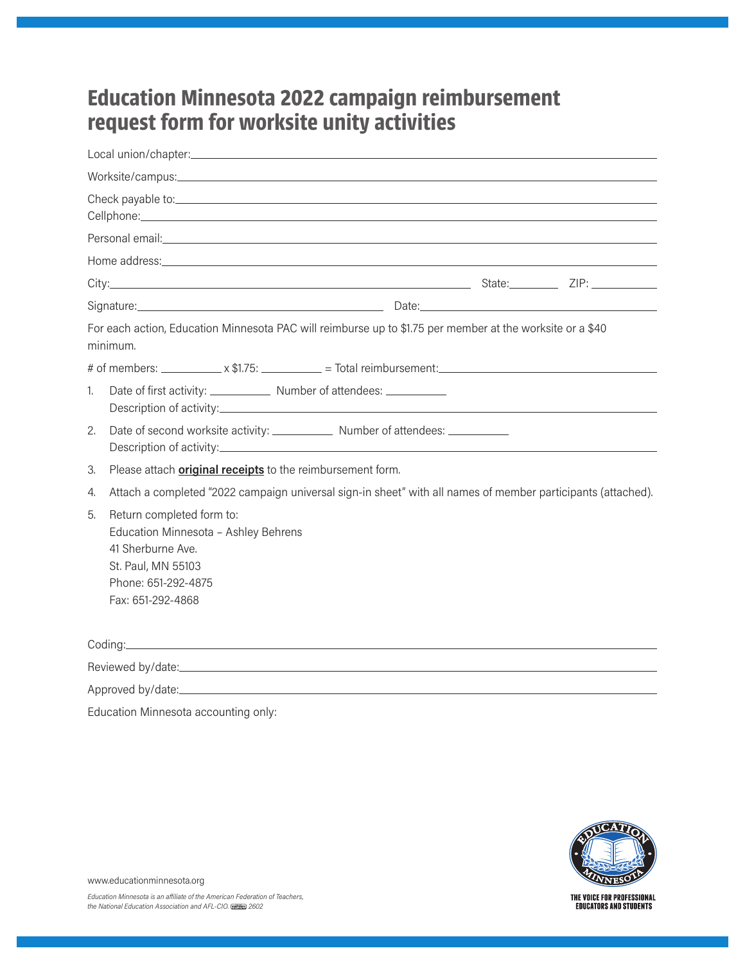## **Education Minnesota 2022 campaign reimbursement request form for worksite unity activities**

|    | Signature: <b>Example 2018</b> and 2019 and 2019 and 2019 and 2019 and 2019 and 2019 and 2019 and 2019 and 2019 and 2019 and 2019 and 2019 and 2019 and 2019 and 2019 and 2019 and 2019 and 2019 and 2019 and 2019 and 2019 and 201 |
|----|-------------------------------------------------------------------------------------------------------------------------------------------------------------------------------------------------------------------------------------|
|    | For each action, Education Minnesota PAC will reimburse up to \$1.75 per member at the worksite or a \$40<br>minimum.                                                                                                               |
|    | # of members: $\frac{\sqrt{3}}{2}$ x \$1.75: $\frac{1}{2}$ = Total reimbursement:                                                                                                                                                   |
| 1. |                                                                                                                                                                                                                                     |
| 2. | Date of second worksite activity: _______________ Number of attendees: _________                                                                                                                                                    |
| 3. | Please attach <b>original receipts</b> to the reimbursement form.                                                                                                                                                                   |
| 4. | Attach a completed "2022 campaign universal sign-in sheet" with all names of member participants (attached).                                                                                                                        |
| 5. | Return completed form to:<br>Education Minnesota - Ashley Behrens<br>41 Sherburne Ave.<br>St. Paul, MN 55103<br>Phone: 651-292-4875<br>Fax: 651-292-4868                                                                            |
|    |                                                                                                                                                                                                                                     |
|    |                                                                                                                                                                                                                                     |
|    |                                                                                                                                                                                                                                     |
|    | Education Minnesota accounting only:                                                                                                                                                                                                |



www.educationminnesota.org

THE VOICE FOR PROFESSIONAL<br>Educators and Students